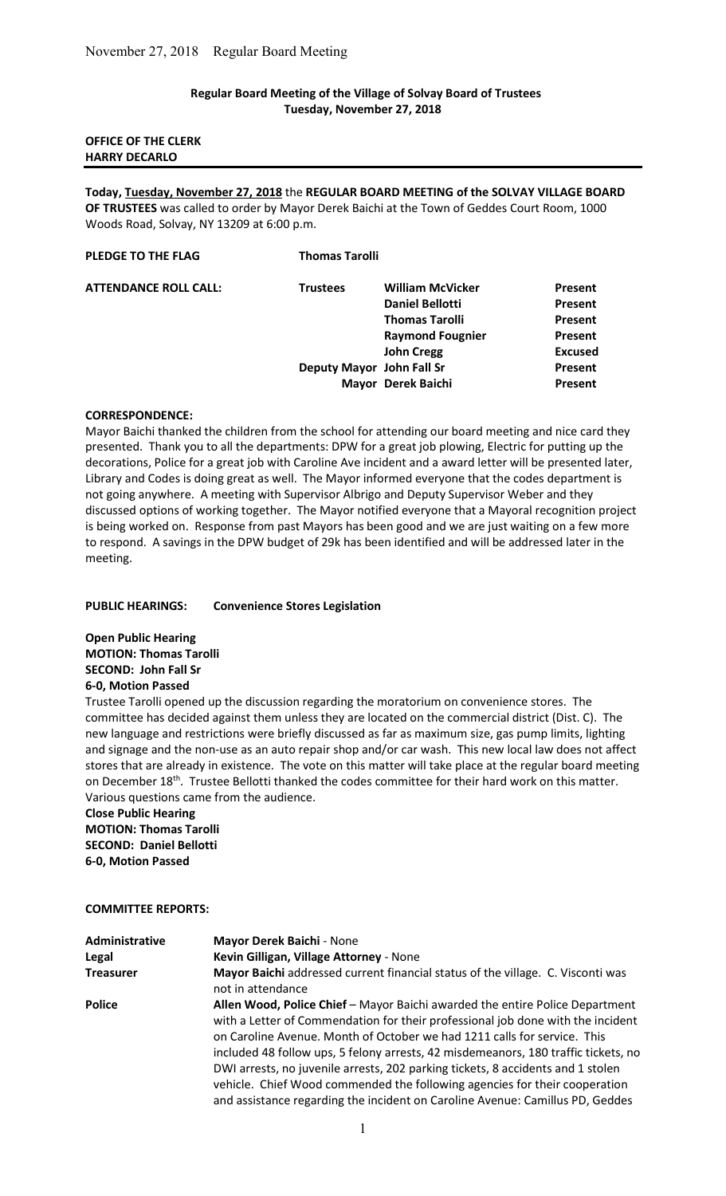## Regular Board Meeting of the Village of Solvay Board of Trustees Tuesday, November 27, 2018

# OFFICE OF THE CLERK HARRY DECARLO

Today, Tuesday, November 27, 2018 the REGULAR BOARD MEETING of the SOLVAY VILLAGE BOARD OF TRUSTEES was called to order by Mayor Derek Baichi at the Town of Geddes Court Room, 1000 Woods Road, Solvay, NY 13209 at 6:00 p.m.

| <b>Thomas Tarolli</b>                      |                |
|--------------------------------------------|----------------|
| <b>William McVicker</b><br><b>Trustees</b> | Present        |
| <b>Daniel Bellotti</b>                     | <b>Present</b> |
| <b>Thomas Tarolli</b>                      | <b>Present</b> |
| <b>Raymond Fougnier</b>                    | Present        |
| <b>John Cregg</b>                          | <b>Excused</b> |
| Deputy Mayor John Fall Sr                  | <b>Present</b> |
| Mayor Derek Baichi                         | <b>Present</b> |
|                                            |                |

#### CORRESPONDENCE:

Mayor Baichi thanked the children from the school for attending our board meeting and nice card they presented. Thank you to all the departments: DPW for a great job plowing, Electric for putting up the decorations, Police for a great job with Caroline Ave incident and a award letter will be presented later, Library and Codes is doing great as well. The Mayor informed everyone that the codes department is not going anywhere. A meeting with Supervisor Albrigo and Deputy Supervisor Weber and they discussed options of working together. The Mayor notified everyone that a Mayoral recognition project is being worked on. Response from past Mayors has been good and we are just waiting on a few more to respond. A savings in the DPW budget of 29k has been identified and will be addressed later in the meeting.

#### PUBLIC HEARINGS: Convenience Stores Legislation

Open Public Hearing MOTION: Thomas Tarolli SECOND: John Fall Sr 6-0, Motion Passed

Trustee Tarolli opened up the discussion regarding the moratorium on convenience stores. The committee has decided against them unless they are located on the commercial district (Dist. C). The new language and restrictions were briefly discussed as far as maximum size, gas pump limits, lighting and signage and the non-use as an auto repair shop and/or car wash. This new local law does not affect stores that are already in existence. The vote on this matter will take place at the regular board meeting on December 18<sup>th</sup>. Trustee Bellotti thanked the codes committee for their hard work on this matter. Various questions came from the audience.

Close Public Hearing MOTION: Thomas Tarolli SECOND: Daniel Bellotti 6-0, Motion Passed

#### COMMITTEE REPORTS:

| Administrative   | <b>Mayor Derek Baichi - None</b>                                                                                                                                                                                                                                                                                                                                                                                                                                                                   |
|------------------|----------------------------------------------------------------------------------------------------------------------------------------------------------------------------------------------------------------------------------------------------------------------------------------------------------------------------------------------------------------------------------------------------------------------------------------------------------------------------------------------------|
| Legal            | Kevin Gilligan, Village Attorney - None                                                                                                                                                                                                                                                                                                                                                                                                                                                            |
| <b>Treasurer</b> | Mayor Baichi addressed current financial status of the village. C. Visconti was<br>not in attendance                                                                                                                                                                                                                                                                                                                                                                                               |
| <b>Police</b>    | Allen Wood, Police Chief - Mayor Baichi awarded the entire Police Department<br>with a Letter of Commendation for their professional job done with the incident<br>on Caroline Avenue. Month of October we had 1211 calls for service. This<br>included 48 follow ups, 5 felony arrests, 42 misdemeanors, 180 traffic tickets, no<br>DWI arrests, no juvenile arrests, 202 parking tickets, 8 accidents and 1 stolen<br>vehicle. Chief Wood commended the following agencies for their cooperation |
|                  | and assistance regarding the incident on Caroline Avenue: Camillus PD, Geddes                                                                                                                                                                                                                                                                                                                                                                                                                      |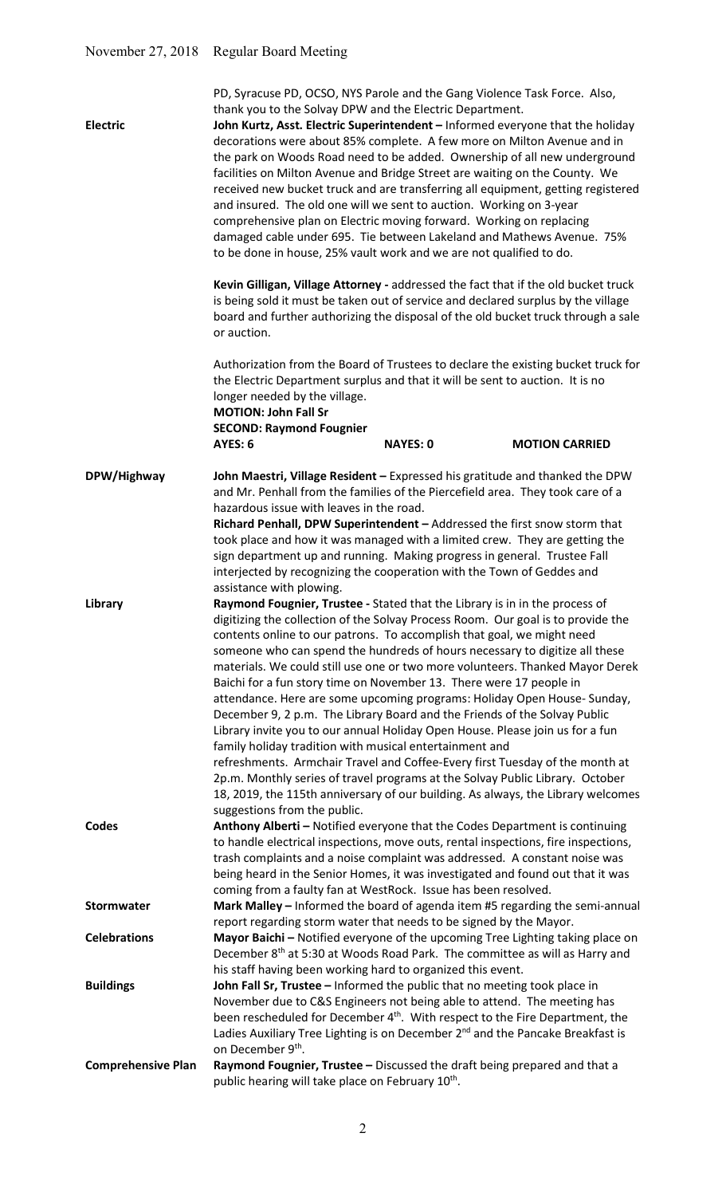| <b>Electric</b>                         | PD, Syracuse PD, OCSO, NYS Parole and the Gang Violence Task Force. Also,<br>thank you to the Solvay DPW and the Electric Department.<br>John Kurtz, Asst. Electric Superintendent - Informed everyone that the holiday<br>decorations were about 85% complete. A few more on Milton Avenue and in<br>the park on Woods Road need to be added. Ownership of all new underground<br>facilities on Milton Avenue and Bridge Street are waiting on the County. We<br>received new bucket truck and are transferring all equipment, getting registered<br>and insured. The old one will we sent to auction. Working on 3-year<br>comprehensive plan on Electric moving forward. Working on replacing<br>damaged cable under 695. Tie between Lakeland and Mathews Avenue. 75%<br>to be done in house, 25% vault work and we are not qualified to do.<br>Kevin Gilligan, Village Attorney - addressed the fact that if the old bucket truck<br>is being sold it must be taken out of service and declared surplus by the village                                                |  |  |
|-----------------------------------------|----------------------------------------------------------------------------------------------------------------------------------------------------------------------------------------------------------------------------------------------------------------------------------------------------------------------------------------------------------------------------------------------------------------------------------------------------------------------------------------------------------------------------------------------------------------------------------------------------------------------------------------------------------------------------------------------------------------------------------------------------------------------------------------------------------------------------------------------------------------------------------------------------------------------------------------------------------------------------------------------------------------------------------------------------------------------------|--|--|
|                                         | board and further authorizing the disposal of the old bucket truck through a sale<br>or auction.                                                                                                                                                                                                                                                                                                                                                                                                                                                                                                                                                                                                                                                                                                                                                                                                                                                                                                                                                                           |  |  |
|                                         | Authorization from the Board of Trustees to declare the existing bucket truck for<br>the Electric Department surplus and that it will be sent to auction. It is no<br>longer needed by the village.<br><b>MOTION: John Fall Sr</b><br><b>SECOND: Raymond Fougnier</b>                                                                                                                                                                                                                                                                                                                                                                                                                                                                                                                                                                                                                                                                                                                                                                                                      |  |  |
|                                         | AYES: 6<br><b>NAYES: 0</b><br><b>MOTION CARRIED</b>                                                                                                                                                                                                                                                                                                                                                                                                                                                                                                                                                                                                                                                                                                                                                                                                                                                                                                                                                                                                                        |  |  |
| DPW/Highway                             | John Maestri, Village Resident - Expressed his gratitude and thanked the DPW<br>and Mr. Penhall from the families of the Piercefield area. They took care of a<br>hazardous issue with leaves in the road.<br>Richard Penhall, DPW Superintendent - Addressed the first snow storm that<br>took place and how it was managed with a limited crew. They are getting the<br>sign department up and running. Making progress in general. Trustee Fall<br>interjected by recognizing the cooperation with the Town of Geddes and<br>assistance with plowing.                                                                                                                                                                                                                                                                                                                                                                                                                                                                                                                   |  |  |
| Library                                 | Raymond Fougnier, Trustee - Stated that the Library is in in the process of<br>digitizing the collection of the Solvay Process Room. Our goal is to provide the<br>contents online to our patrons. To accomplish that goal, we might need<br>someone who can spend the hundreds of hours necessary to digitize all these<br>materials. We could still use one or two more volunteers. Thanked Mayor Derek<br>Baichi for a fun story time on November 13. There were 17 people in<br>attendance. Here are some upcoming programs: Holiday Open House- Sunday,<br>December 9, 2 p.m. The Library Board and the Friends of the Solvay Public<br>Library invite you to our annual Holiday Open House. Please join us for a fun<br>family holiday tradition with musical entertainment and<br>refreshments. Armchair Travel and Coffee-Every first Tuesday of the month at<br>2p.m. Monthly series of travel programs at the Solvay Public Library. October<br>18, 2019, the 115th anniversary of our building. As always, the Library welcomes<br>suggestions from the public. |  |  |
| Codes                                   | Anthony Alberti - Notified everyone that the Codes Department is continuing<br>to handle electrical inspections, move outs, rental inspections, fire inspections,<br>trash complaints and a noise complaint was addressed. A constant noise was<br>being heard in the Senior Homes, it was investigated and found out that it was<br>coming from a faulty fan at WestRock. Issue has been resolved.                                                                                                                                                                                                                                                                                                                                                                                                                                                                                                                                                                                                                                                                        |  |  |
| Stormwater                              | Mark Malley - Informed the board of agenda item #5 regarding the semi-annual<br>report regarding storm water that needs to be signed by the Mayor.                                                                                                                                                                                                                                                                                                                                                                                                                                                                                                                                                                                                                                                                                                                                                                                                                                                                                                                         |  |  |
| <b>Celebrations</b><br><b>Buildings</b> | Mayor Baichi - Notified everyone of the upcoming Tree Lighting taking place on<br>December 8 <sup>th</sup> at 5:30 at Woods Road Park. The committee as will as Harry and<br>his staff having been working hard to organized this event.<br>John Fall Sr, Trustee - Informed the public that no meeting took place in                                                                                                                                                                                                                                                                                                                                                                                                                                                                                                                                                                                                                                                                                                                                                      |  |  |
|                                         | November due to C&S Engineers not being able to attend. The meeting has<br>been rescheduled for December 4 <sup>th</sup> . With respect to the Fire Department, the<br>Ladies Auxiliary Tree Lighting is on December 2 <sup>nd</sup> and the Pancake Breakfast is<br>on December 9th.                                                                                                                                                                                                                                                                                                                                                                                                                                                                                                                                                                                                                                                                                                                                                                                      |  |  |
| <b>Comprehensive Plan</b>               | Raymond Fougnier, Trustee - Discussed the draft being prepared and that a<br>public hearing will take place on February 10 <sup>th</sup> .                                                                                                                                                                                                                                                                                                                                                                                                                                                                                                                                                                                                                                                                                                                                                                                                                                                                                                                                 |  |  |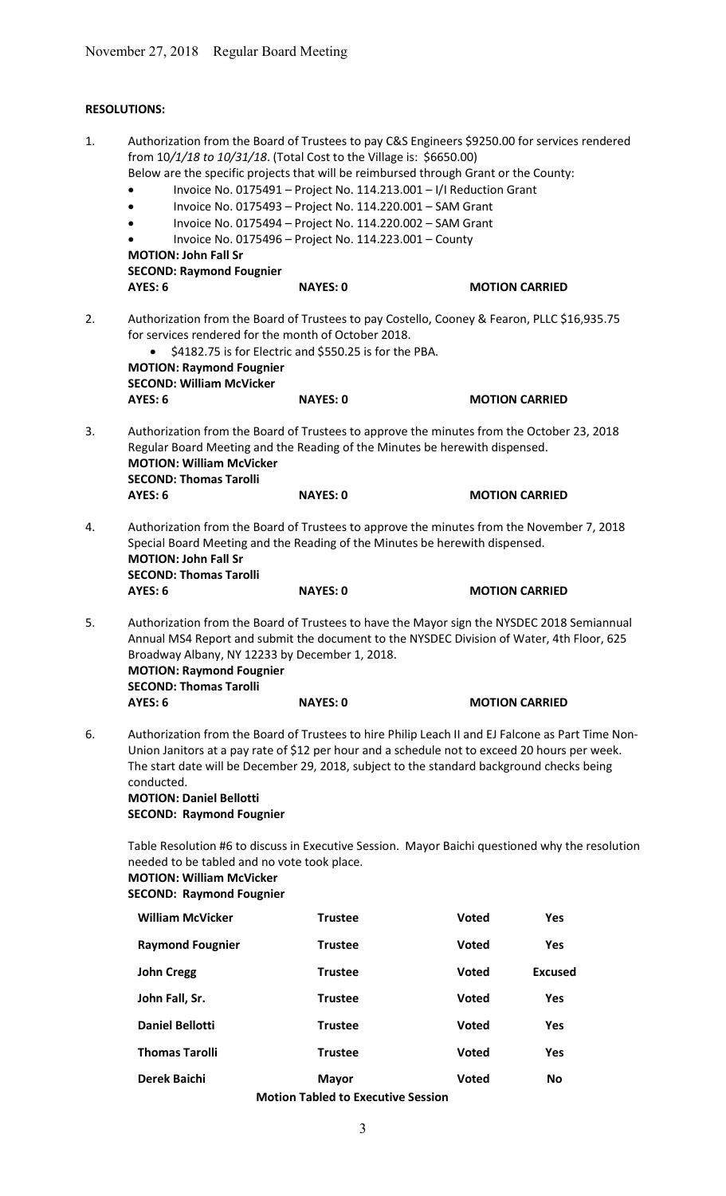# RESOLUTIONS:

| 1. | Authorization from the Board of Trustees to pay C&S Engineers \$9250.00 for services rendered<br>from 10/1/18 to 10/31/18. (Total Cost to the Village is: \$6650.00)<br>Below are the specific projects that will be reimbursed through Grant or the County:<br>Invoice No. 0175491 - Project No. 114.213.001 - I/I Reduction Grant<br>Invoice No. 0175493 - Project No. 114.220.001 - SAM Grant<br>Invoice No. 0175494 - Project No. 114.220.002 - SAM Grant<br>Invoice No. 0175496 - Project No. 114.223.001 - County<br><b>MOTION: John Fall Sr</b><br><b>SECOND: Raymond Fougnier</b>                  |                 |                       |                |  |
|----|------------------------------------------------------------------------------------------------------------------------------------------------------------------------------------------------------------------------------------------------------------------------------------------------------------------------------------------------------------------------------------------------------------------------------------------------------------------------------------------------------------------------------------------------------------------------------------------------------------|-----------------|-----------------------|----------------|--|
|    | <b>AYES: 6</b>                                                                                                                                                                                                                                                                                                                                                                                                                                                                                                                                                                                             | <b>NAYES: 0</b> | <b>MOTION CARRIED</b> |                |  |
| 2. | Authorization from the Board of Trustees to pay Costello, Cooney & Fearon, PLLC \$16,935.75<br>for services rendered for the month of October 2018.<br>\$4182.75 is for Electric and \$550.25 is for the PBA.<br><b>MOTION: Raymond Fougnier</b><br><b>SECOND: William McVicker</b><br>AYES: 6<br><b>NAYES: 0</b><br><b>MOTION CARRIED</b>                                                                                                                                                                                                                                                                 |                 |                       |                |  |
| 3. | Authorization from the Board of Trustees to approve the minutes from the October 23, 2018<br>Regular Board Meeting and the Reading of the Minutes be herewith dispensed.<br><b>MOTION: William McVicker</b><br><b>SECOND: Thomas Tarolli</b><br>AYES: 6                                                                                                                                                                                                                                                                                                                                                    | <b>NAYES: 0</b> | <b>MOTION CARRIED</b> |                |  |
| 4. | Authorization from the Board of Trustees to approve the minutes from the November 7, 2018<br>Special Board Meeting and the Reading of the Minutes be herewith dispensed.<br><b>MOTION: John Fall Sr</b><br><b>SECOND: Thomas Tarolli</b>                                                                                                                                                                                                                                                                                                                                                                   |                 |                       |                |  |
|    | AYES: 6                                                                                                                                                                                                                                                                                                                                                                                                                                                                                                                                                                                                    | <b>NAYES: 0</b> | <b>MOTION CARRIED</b> |                |  |
| 5. | Authorization from the Board of Trustees to have the Mayor sign the NYSDEC 2018 Semiannual<br>Annual MS4 Report and submit the document to the NYSDEC Division of Water, 4th Floor, 625<br>Broadway Albany, NY 12233 by December 1, 2018.<br><b>MOTION: Raymond Fougnier</b><br><b>SECOND: Thomas Tarolli</b>                                                                                                                                                                                                                                                                                              |                 |                       |                |  |
|    | <b>AYES: 6</b>                                                                                                                                                                                                                                                                                                                                                                                                                                                                                                                                                                                             | <b>NAYES: 0</b> | <b>MOTION CARRIED</b> |                |  |
| 6. | Authorization from the Board of Trustees to hire Philip Leach II and EJ Falcone as Part Time Non-<br>Union Janitors at a pay rate of \$12 per hour and a schedule not to exceed 20 hours per week.<br>The start date will be December 29, 2018, subject to the standard background checks being<br>conducted.<br><b>MOTION: Daniel Bellotti</b><br><b>SECOND: Raymond Fougnier</b><br>Table Resolution #6 to discuss in Executive Session. Mayor Baichi questioned why the resolution<br>needed to be tabled and no vote took place.<br><b>MOTION: William McVicker</b><br><b>SECOND: Raymond Fougnier</b> |                 |                       |                |  |
|    |                                                                                                                                                                                                                                                                                                                                                                                                                                                                                                                                                                                                            |                 |                       |                |  |
|    | <b>William McVicker</b>                                                                                                                                                                                                                                                                                                                                                                                                                                                                                                                                                                                    | <b>Trustee</b>  | <b>Voted</b>          | <b>Yes</b>     |  |
|    | <b>Raymond Fougnier</b>                                                                                                                                                                                                                                                                                                                                                                                                                                                                                                                                                                                    | <b>Trustee</b>  | <b>Voted</b>          | Yes            |  |
|    | <b>John Cregg</b>                                                                                                                                                                                                                                                                                                                                                                                                                                                                                                                                                                                          | <b>Trustee</b>  | <b>Voted</b>          | <b>Excused</b> |  |
|    | John Fall, Sr.                                                                                                                                                                                                                                                                                                                                                                                                                                                                                                                                                                                             | <b>Trustee</b>  | <b>Voted</b>          | <b>Yes</b>     |  |
|    | <b>Daniel Bellotti</b>                                                                                                                                                                                                                                                                                                                                                                                                                                                                                                                                                                                     | <b>Trustee</b>  | <b>Voted</b>          | <b>Yes</b>     |  |
|    | <b>Thomas Tarolli</b>                                                                                                                                                                                                                                                                                                                                                                                                                                                                                                                                                                                      | <b>Trustee</b>  | <b>Voted</b>          | <b>Yes</b>     |  |
|    | <b>Derek Baichi</b>                                                                                                                                                                                                                                                                                                                                                                                                                                                                                                                                                                                        | <b>Mayor</b>    | <b>Voted</b>          | <b>No</b>      |  |
|    | <b>Motion Tabled to Executive Session</b>                                                                                                                                                                                                                                                                                                                                                                                                                                                                                                                                                                  |                 |                       |                |  |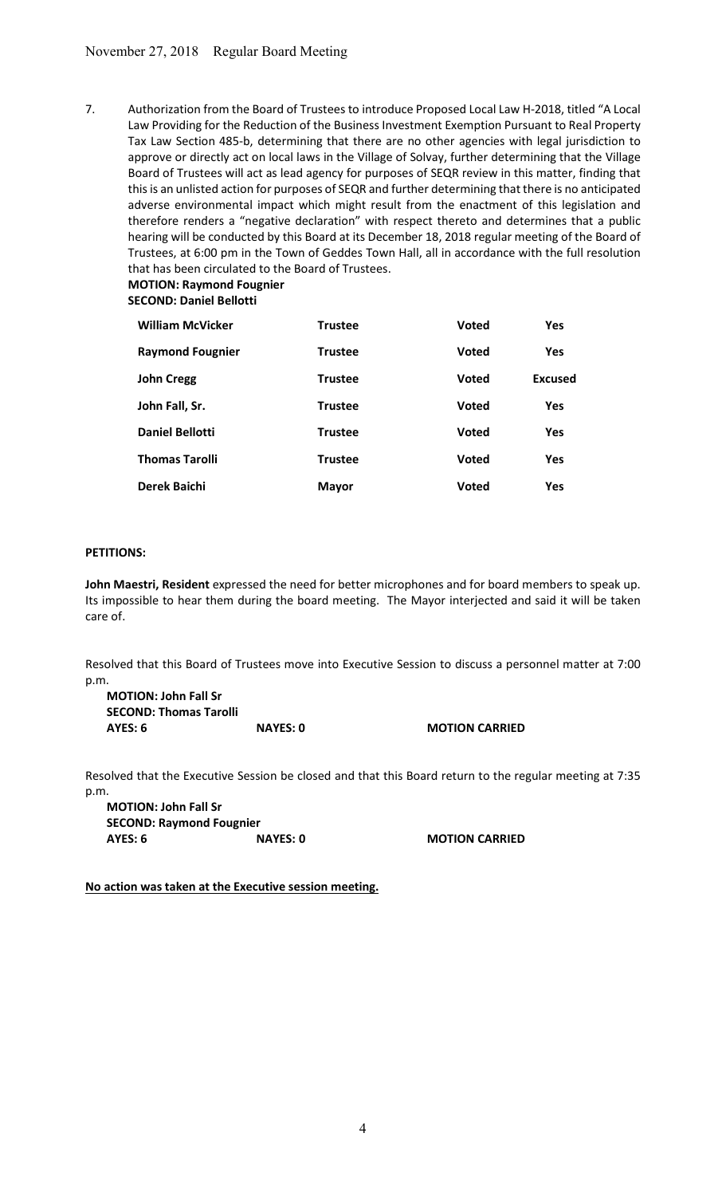7. Authorization from the Board of Trustees to introduce Proposed Local Law H-2018, titled "A Local Law Providing for the Reduction of the Business Investment Exemption Pursuant to Real Property Tax Law Section 485-b, determining that there are no other agencies with legal jurisdiction to approve or directly act on local laws in the Village of Solvay, further determining that the Village Board of Trustees will act as lead agency for purposes of SEQR review in this matter, finding that this is an unlisted action for purposes of SEQR and further determining that there is no anticipated adverse environmental impact which might result from the enactment of this legislation and therefore renders a "negative declaration" with respect thereto and determines that a public hearing will be conducted by this Board at its December 18, 2018 regular meeting of the Board of Trustees, at 6:00 pm in the Town of Geddes Town Hall, all in accordance with the full resolution that has been circulated to the Board of Trustees.

MOTION: Raymond Fougnier SECOND: Da

|  |  | SECOND: Daniel Bellotti |  |
|--|--|-------------------------|--|
|  |  |                         |  |
|  |  |                         |  |

| <b>William McVicker</b> | <b>Trustee</b> | <b>Voted</b> | <b>Yes</b>     |
|-------------------------|----------------|--------------|----------------|
| <b>Raymond Fougnier</b> | Trustee        | <b>Voted</b> | <b>Yes</b>     |
| <b>John Cregg</b>       | <b>Trustee</b> | <b>Voted</b> | <b>Excused</b> |
| John Fall, Sr.          | <b>Trustee</b> | <b>Voted</b> | <b>Yes</b>     |
| <b>Daniel Bellotti</b>  | <b>Trustee</b> | <b>Voted</b> | <b>Yes</b>     |
| <b>Thomas Tarolli</b>   | <b>Trustee</b> | <b>Voted</b> | <b>Yes</b>     |
| <b>Derek Baichi</b>     | <b>Mayor</b>   | <b>Voted</b> | Yes            |

## PETITIONS:

John Maestri, Resident expressed the need for better microphones and for board members to speak up. Its impossible to hear them during the board meeting. The Mayor interjected and said it will be taken care of.

Resolved that this Board of Trustees move into Executive Session to discuss a personnel matter at 7:00 p.m.

| <b>MOTION: John Fall Sr</b>   |                 |
|-------------------------------|-----------------|
| <b>SECOND: Thomas Tarolli</b> |                 |
| AYES: 6                       | <b>NAYES: 0</b> |

**O** MOTION CARRIED

Resolved that the Executive Session be closed and that this Board return to the regular meeting at 7:35 p.m.

MOTION: John Fall Sr SECOND: Raymond Fougnier AYES: 6 NAYES: 0 NAYES: 0 MOTION CARRIED

No action was taken at the Executive session meeting.